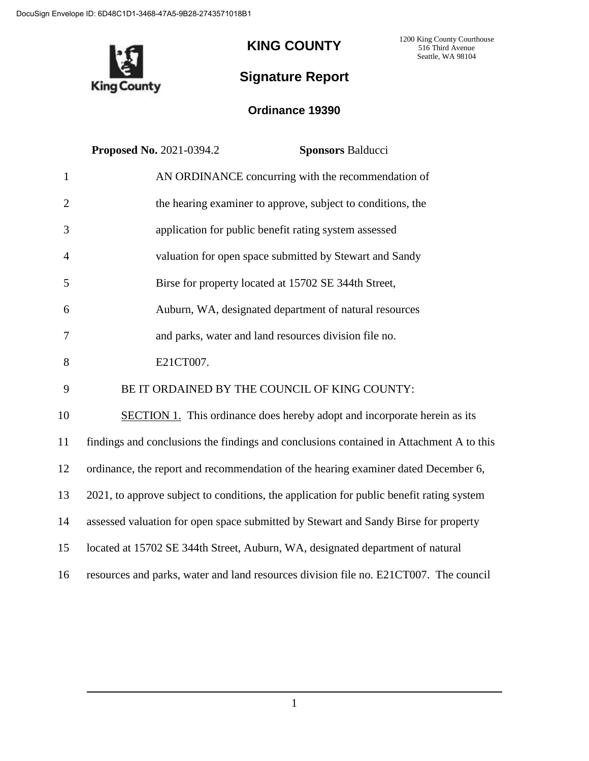

## **KING COUNTY**

1200 King County Courthouse 516 Third Avenue Seattle, WA 98104

## **Signature Report**

## **Ordinance 19390**

|                | <b>Proposed No. 2021-0394.2</b><br><b>Sponsors Balducci</b>                              |
|----------------|------------------------------------------------------------------------------------------|
| $\mathbf{1}$   | AN ORDINANCE concurring with the recommendation of                                       |
| $\overline{2}$ | the hearing examiner to approve, subject to conditions, the                              |
| 3              | application for public benefit rating system assessed                                    |
| 4              | valuation for open space submitted by Stewart and Sandy                                  |
| 5              | Birse for property located at 15702 SE 344th Street,                                     |
| 6              | Auburn, WA, designated department of natural resources                                   |
| 7              | and parks, water and land resources division file no.                                    |
| 8              | E21CT007.                                                                                |
| 9              | BE IT ORDAINED BY THE COUNCIL OF KING COUNTY:                                            |
| 10             | <b>SECTION 1.</b> This ordinance does hereby adopt and incorporate herein as its         |
| 11             | findings and conclusions the findings and conclusions contained in Attachment A to this  |
| 12             | ordinance, the report and recommendation of the hearing examiner dated December 6,       |
| 13             | 2021, to approve subject to conditions, the application for public benefit rating system |
| 14             | assessed valuation for open space submitted by Stewart and Sandy Birse for property      |
| 15             | located at 15702 SE 344th Street, Auburn, WA, designated department of natural           |
| 16             | resources and parks, water and land resources division file no. E21CT007. The council    |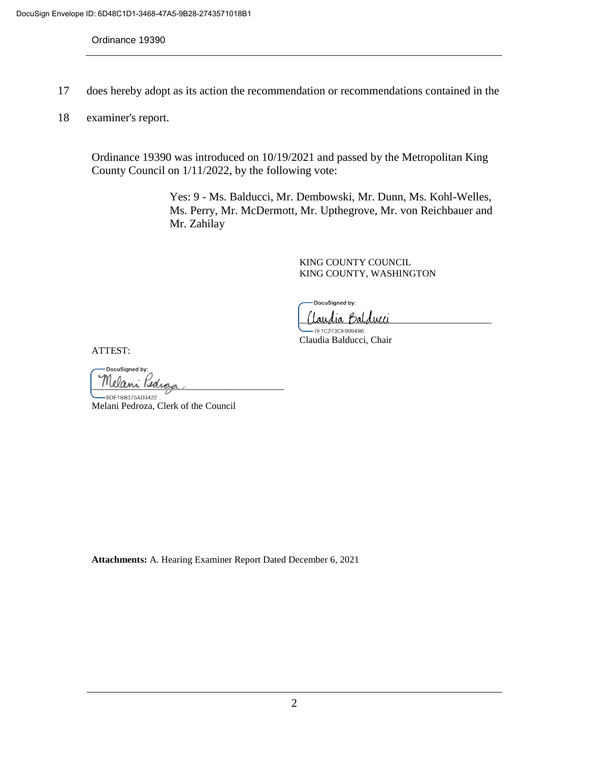Ordinance 19390

- 17 does hereby adopt as its action the recommendation or recommendations contained in the
- 18 examiner's report.

Ordinance 19390 was introduced on 10/19/2021 and passed by the Metropolitan King County Council on 1/11/2022, by the following vote:

> Yes: 9 - Ms. Balducci, Mr. Dembowski, Mr. Dunn, Ms. Kohl-Welles, Ms. Perry, Mr. McDermott, Mr. Upthegrove, Mr. von Reichbauer and Mr. Zahilay

> > KING COUNTY COUNCIL KING COUNTY, WASHINGTON

DocuSigned by:

(laudia Balducci

7E1C273CE9994B6. Claudia Balducci, Chair

ATTEST:

DocuSianed by: Melani Kedi

-8DE1BB375AD3422.. Melani Pedroza, Clerk of the Council

**Attachments:** A. Hearing Examiner Report Dated December 6, 2021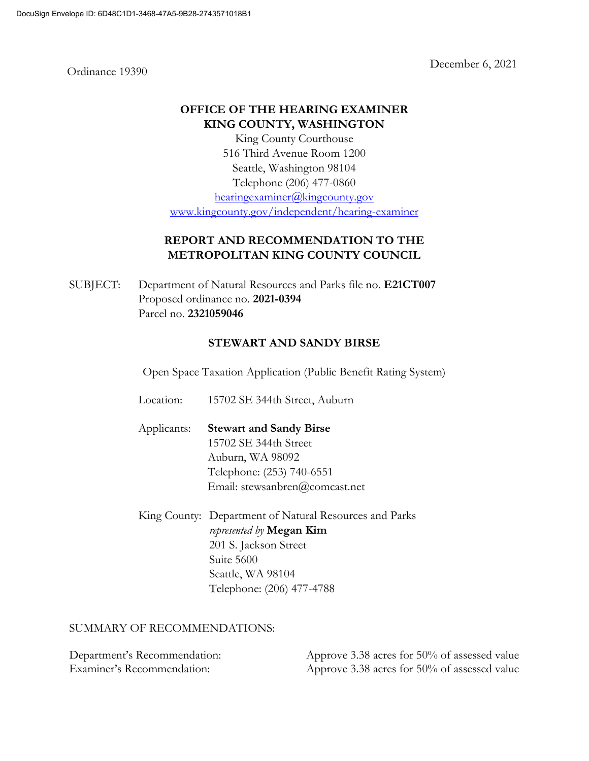Ordinance 19390

December 6, 2021

### **OFFICE OF THE HEARING EXAMINER KING COUNTY, WASHINGTON**

King County Courthouse 516 Third Avenue Room 1200 Seattle, Washington 98104 Telephone (206) 477-0860 [hearingexaminer@kingcounty.gov](mailto:hearingexaminer@kingcounty.gov)

[www.kingcounty.gov/independent/hearing-examiner](http://www.kingcounty.gov/independent/hearing-examiner)

## **REPORT AND RECOMMENDATION TO THE METROPOLITAN KING COUNTY COUNCIL**

SUBJECT: Department of Natural Resources and Parks file no. **E21CT007** Proposed ordinance no. **2021-0394** Parcel no. **2321059046**

### **STEWART AND SANDY BIRSE**

Open Space Taxation Application (Public Benefit Rating System)

Location: 15702 SE 344th Street, Auburn

Applicants: **Stewart and Sandy Birse** 15702 SE 344th Street Auburn, WA 98092 Telephone: (253) 740-6551 Email: stewsanbren@comcast.net

King County: Department of Natural Resources and Parks *represented by* **Megan Kim** 201 S. Jackson Street Suite 5600 Seattle, WA 98104 Telephone: (206) 477-4788

#### SUMMARY OF RECOMMENDATIONS:

| Department's Recommendation: | Approve 3.38 acres for 50% of assessed value |
|------------------------------|----------------------------------------------|
| Examiner's Recommendation:   | Approve 3.38 acres for 50% of assessed value |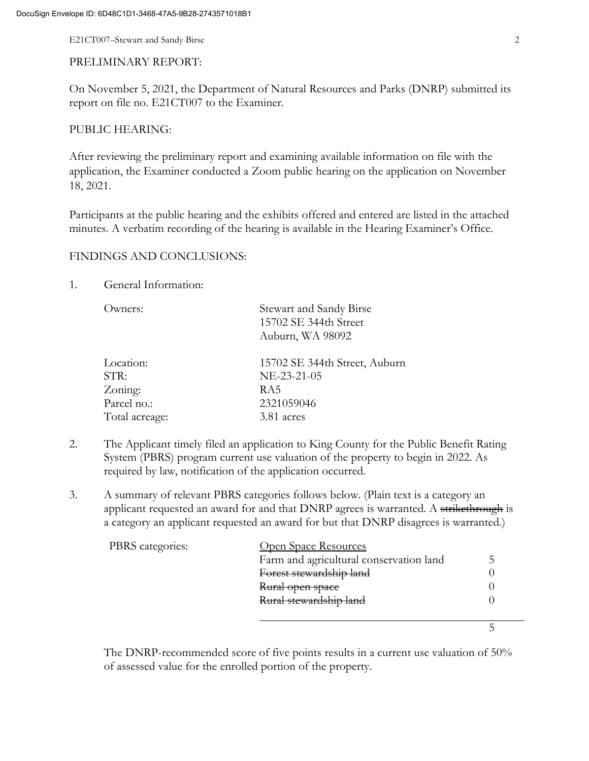E21CT007–Stewart and Sandy Birse 2

#### PRELIMINARY REPORT:

On November 5, 2021, the Department of Natural Resources and Parks (DNRP) submitted its report on file no. E21CT007 to the Examiner.

#### PUBLIC HEARING:

After reviewing the preliminary report and examining available information on file with the application, the Examiner conducted a Zoom public hearing on the application on November 18, 2021.

Participants at the public hearing and the exhibits offered and entered are listed in the attached minutes. A verbatim recording of the hearing is available in the Hearing Examiner's Office.

#### FINDINGS AND CONCLUSIONS:

#### 1. General Information:

| Owners:        | Stewart and Sandy Birse<br>15702 SE 344th Street<br>Auburn, WA 98092 |
|----------------|----------------------------------------------------------------------|
| Location:      | 15702 SE 344th Street, Auburn                                        |
| STR:           | NE-23-21-05                                                          |
| Zoning:        | RA5                                                                  |
| Parcel no.:    | 2321059046                                                           |
| Total acreage: | 3.81 acres                                                           |
|                |                                                                      |

- 2. The Applicant timely filed an application to King County for the Public Benefit Rating System (PBRS) program current use valuation of the property to begin in 2022. As required by law, notification of the application occurred.
- 3. A summary of relevant PBRS categories follows below. (Plain text is a category an applicant requested an award for and that DNRP agrees is warranted. A strikethrough is a category an applicant requested an award for but that DNRP disagrees is warranted.)

| PBRS categories: | Open Space Resources                    |  |
|------------------|-----------------------------------------|--|
|                  | Farm and agricultural conservation land |  |
|                  | Forest stewardship land                 |  |
|                  | Rural open space                        |  |
|                  | Rural stewardship land                  |  |
|                  |                                         |  |
|                  |                                         |  |

The DNRP-recommended score of five points results in a current use valuation of 50% of assessed value for the enrolled portion of the property.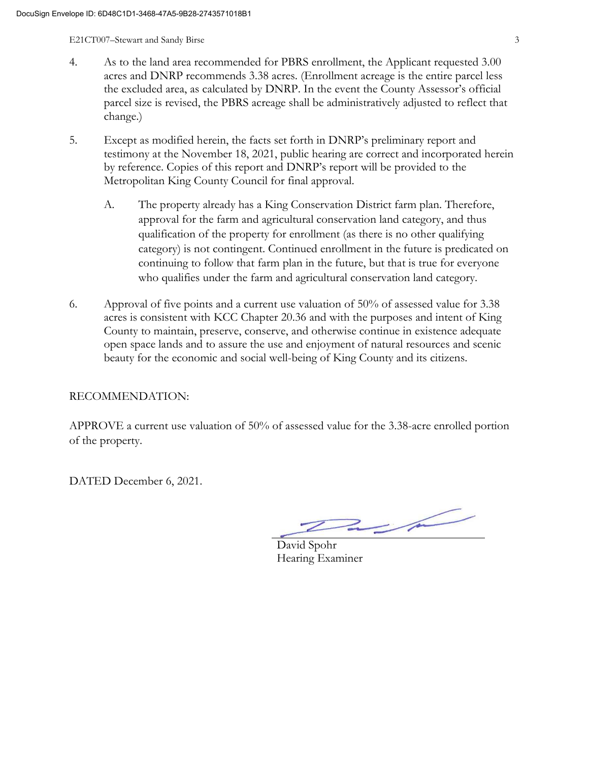E21CT007–Stewart and Sandy Birse 3

- 4. As to the land area recommended for PBRS enrollment, the Applicant requested 3.00 acres and DNRP recommends 3.38 acres. (Enrollment acreage is the entire parcel less the excluded area, as calculated by DNRP. In the event the County Assessor's official parcel size is revised, the PBRS acreage shall be administratively adjusted to reflect that change.)
- 5. Except as modified herein, the facts set forth in DNRP's preliminary report and testimony at the November 18, 2021, public hearing are correct and incorporated herein by reference. Copies of this report and DNRP's report will be provided to the Metropolitan King County Council for final approval.
	- A. The property already has a King Conservation District farm plan. Therefore, approval for the farm and agricultural conservation land category, and thus qualification of the property for enrollment (as there is no other qualifying category) is not contingent. Continued enrollment in the future is predicated on continuing to follow that farm plan in the future, but that is true for everyone who qualifies under the farm and agricultural conservation land category.
- 6. Approval of five points and a current use valuation of 50% of assessed value for 3.38 acres is consistent with KCC Chapter 20.36 and with the purposes and intent of King County to maintain, preserve, conserve, and otherwise continue in existence adequate open space lands and to assure the use and enjoyment of natural resources and scenic beauty for the economic and social well-being of King County and its citizens.

RECOMMENDATION:

APPROVE a current use valuation of 50% of assessed value for the 3.38-acre enrolled portion of the property.

DATED December 6, 2021.

 $2\mu$ 

David Spohr Hearing Examiner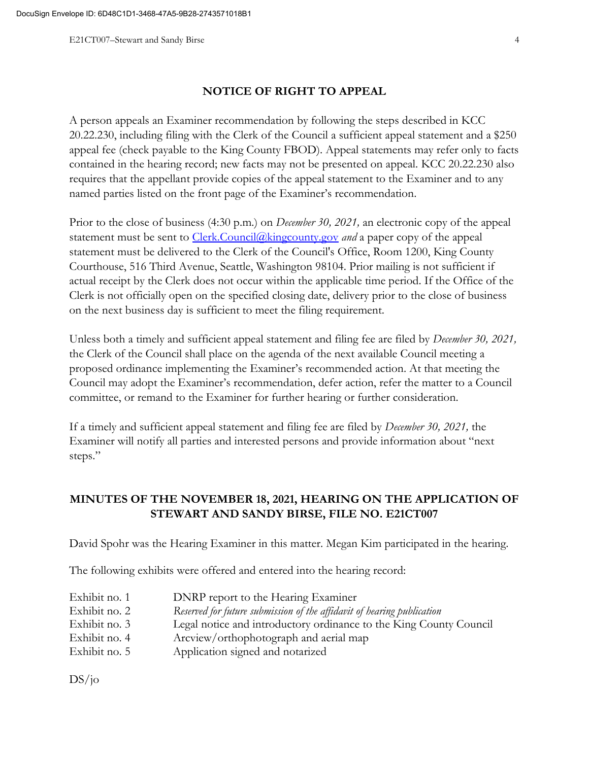#### **NOTICE OF RIGHT TO APPEAL**

A person appeals an Examiner recommendation by following the steps described in KCC 20.22.230, including filing with the Clerk of the Council a sufficient appeal statement and a \$250 appeal fee (check payable to the King County FBOD). Appeal statements may refer only to facts contained in the hearing record; new facts may not be presented on appeal. KCC 20.22.230 also requires that the appellant provide copies of the appeal statement to the Examiner and to any named parties listed on the front page of the Examiner's recommendation.

Prior to the close of business (4:30 p.m.) on *December 30, 2021,* an electronic copy of the appeal statement must be sent to [Clerk.Council@kingcounty.gov](mailto:Clerk.Council@kingcounty.gov) *and* a paper copy of the appeal statement must be delivered to the Clerk of the Council's Office, Room 1200, King County Courthouse, 516 Third Avenue, Seattle, Washington 98104. Prior mailing is not sufficient if actual receipt by the Clerk does not occur within the applicable time period. If the Office of the Clerk is not officially open on the specified closing date, delivery prior to the close of business on the next business day is sufficient to meet the filing requirement.

Unless both a timely and sufficient appeal statement and filing fee are filed by *December 30, 2021,*  the Clerk of the Council shall place on the agenda of the next available Council meeting a proposed ordinance implementing the Examiner's recommended action. At that meeting the Council may adopt the Examiner's recommendation, defer action, refer the matter to a Council committee, or remand to the Examiner for further hearing or further consideration.

If a timely and sufficient appeal statement and filing fee are filed by *December 30, 2021,* the Examiner will notify all parties and interested persons and provide information about "next steps."

## **MINUTES OF THE NOVEMBER 18, 2021, HEARING ON THE APPLICATION OF STEWART AND SANDY BIRSE, FILE NO. E21CT007**

David Spohr was the Hearing Examiner in this matter. Megan Kim participated in the hearing.

The following exhibits were offered and entered into the hearing record:

| Exhibit no. 1 | DNRP report to the Hearing Examiner                                    |
|---------------|------------------------------------------------------------------------|
| Exhibit no. 2 | Reserved for future submission of the affidavit of hearing publication |
| Exhibit no. 3 | Legal notice and introductory ordinance to the King County Council     |
| Exhibit no. 4 | Arcview/orthophotograph and aerial map                                 |
| Exhibit no. 5 | Application signed and notarized                                       |

 $DS/10$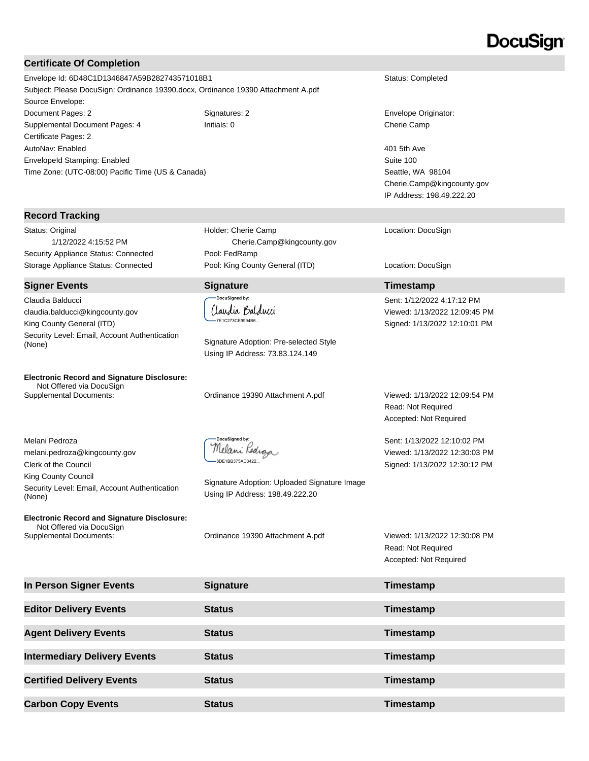# DocuSian

#### **Certificate Of Completion**

Envelope Id: 6D48C1D1346847A59B282743571018B1 Status: Completed Subject: Please DocuSign: Ordinance 19390.docx, Ordinance 19390 Attachment A.pdf Source Envelope: Document Pages: 2 Signatures: 2 Signatures: 2 Envelope Originator: Supplemental Document Pages: 4 Initials: 0 Cherie Camp Certificate Pages: 2 AutoNav: Enabled EnvelopeId Stamping: Enabled Time Zone: (UTC-08:00) Pacific Time (US & Canada)

#### **Record Tracking**

Status: Original 1/12/2022 4:15:52 PM Security Appliance Status: Connected Pool: FedRamp Storage Appliance Status: Connected Pool: King County General (ITD) Location: DocuSign

#### **Signer Events Signature Timestamp**

Claudia Balducci claudia.balducci@kingcounty.gov King County General (ITD) Security Level: Email, Account Authentication Signature Adoption: Pre-selected Style (None)

**Electronic Record and Signature Disclosure:**  Not Offered via DocuSign

Melani Pedroza melani.pedroza@kingcounty.gov Clerk of the Council King County Council Security Level: Email, Account Authentication (None)

**Electronic Record and Signature Disclosure:**  Not Offered via DocuSign Supplemental Documents: Ordinance 19390 Attachment A.pdf Viewed: 1/13/2022 12:30:08 PM

Cherie.Camp@kingcounty.gov

(laudia Balducci 7E1C273CE9994B6.

Holder: Cherie Camp

Using IP Address: 73.83.124.149

Supplemental Documents: Ordinance 19390 Attachment A.pdf Viewed: 1/13/2022 12:09:54 PM

DocuSigned by Melani Pedroza -8DE1BB375AD3422...

Signature Adoption: Uploaded Signature Image Using IP Address: 198.49.222.20

Read: Not Required Accepted: Not Required

| In Person Signer Events             | <b>Signature</b> | Timestamp |
|-------------------------------------|------------------|-----------|
|                                     |                  |           |
| <b>Editor Delivery Events</b>       | <b>Status</b>    | Timestamp |
|                                     |                  |           |
| <b>Agent Delivery Events</b>        | <b>Status</b>    | Timestamp |
|                                     |                  |           |
| <b>Intermediary Delivery Events</b> | <b>Status</b>    | Timestamp |
|                                     |                  |           |
| <b>Certified Delivery Events</b>    | <b>Status</b>    | Timestamp |
|                                     |                  |           |
| <b>Carbon Copy Events</b>           | <b>Status</b>    | Timestamp |

401 5th Ave Suite 100 Seattle, WA 98104 Cherie.Camp@kingcounty.gov IP Address: 198.49.222.20

Location: DocuSign

Sent: 1/12/2022 4:17:12 PM Viewed: 1/13/2022 12:09:45 PM Signed: 1/13/2022 12:10:01 PM

Read: Not Required Accepted: Not Required

Sent: 1/13/2022 12:10:02 PM Viewed: 1/13/2022 12:30:03 PM Signed: 1/13/2022 12:30:12 PM